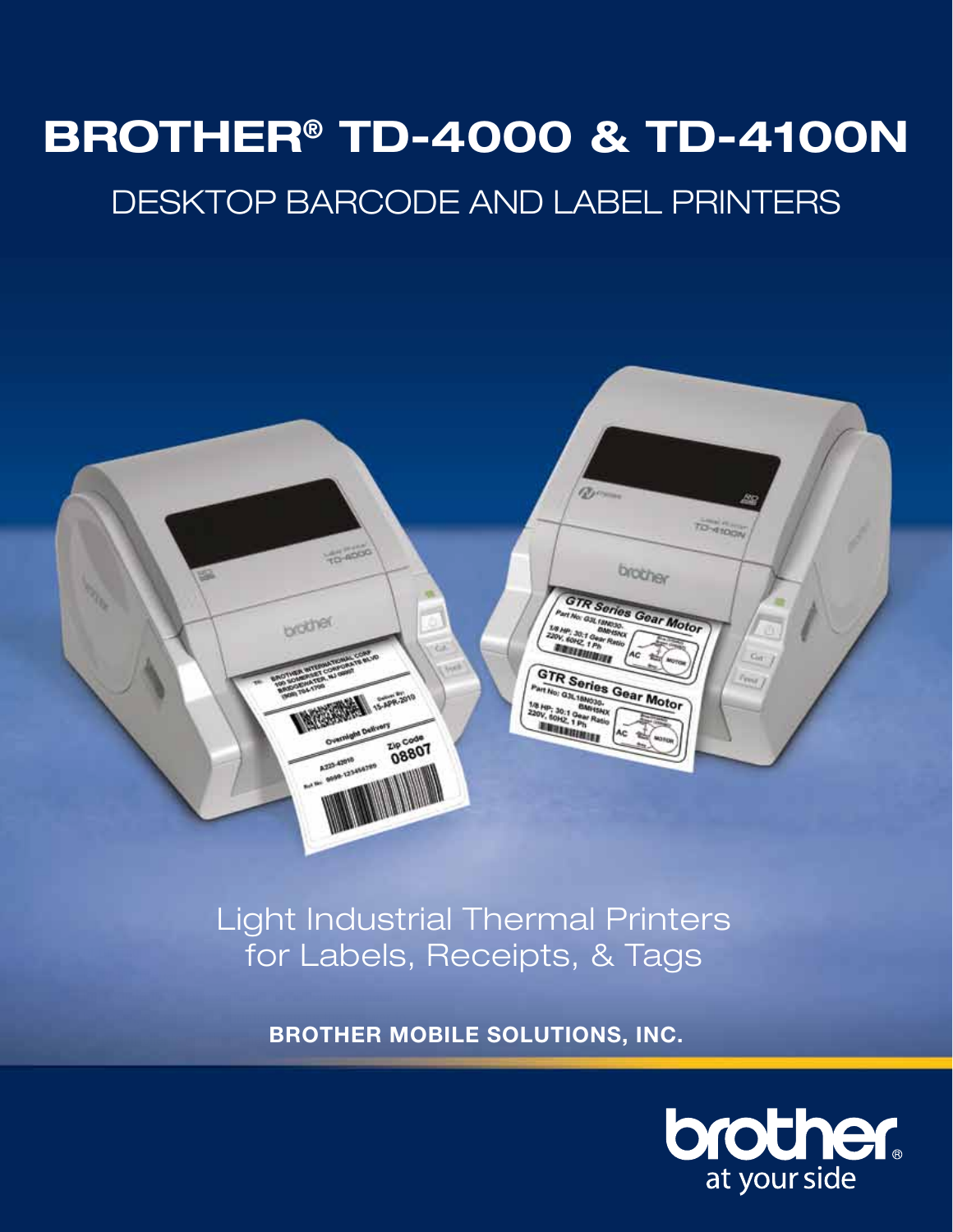# **BROTHER® TD-4000 & TD-4100N** DESKTOP Barcode AND LABEL PRINTERS



**Giving the best customer cone customer experience is one of the best customer experience in the best customer** of the that that business. is for Labels, Receipts, & Tags

**BROTHER MOBILE SOLUTIONS, INC.** 

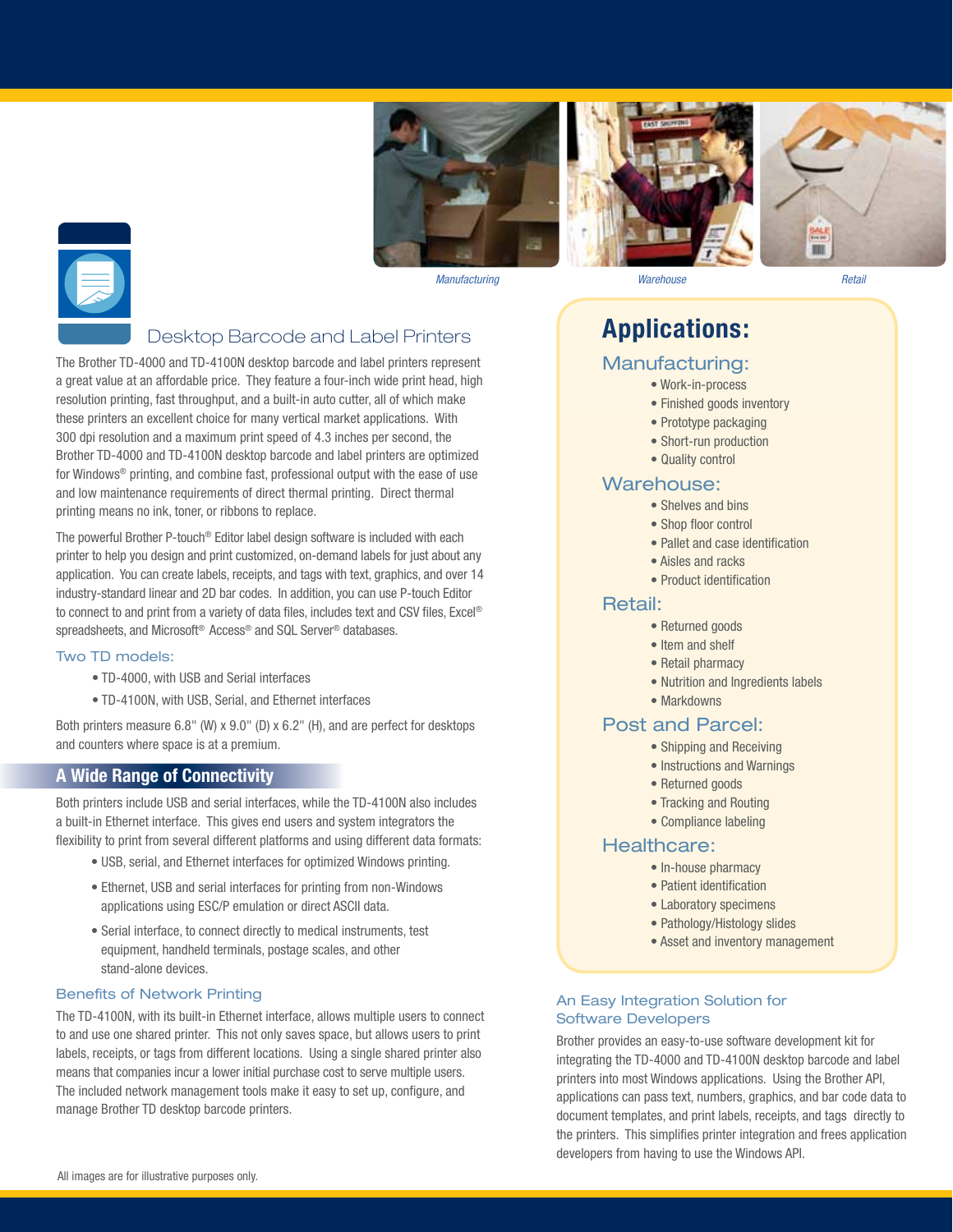







*Manufacturing Warehouse Retail*

#### Desktop Barcode and Label Printers

The Brother TD-4000 and TD-4100N desktop barcode and label printers represent a great value at an affordable price. They feature a four-inch wide print head, high resolution printing, fast throughput, and a built-in auto cutter, all of which make these printers an excellent choice for many vertical market applications. With 300 dpi resolution and a maximum print speed of 4.3 inches per second, the Brother TD-4000 and TD-4100N desktop barcode and label printers are optimized for Windows® printing, and combine fast, professional output with the ease of use and low maintenance requirements of direct thermal printing. Direct thermal printing means no ink, toner, or ribbons to replace.

The powerful Brother P-touch® Editor label design software is included with each printer to help you design and print customized, on-demand labels for just about any application. You can create labels, receipts, and tags with text, graphics, and over 14 industry-standard linear and 2D bar codes. In addition, you can use P-touch Editor to connect to and print from a variety of data files, includes text and CSV files, Excel® spreadsheets, and Microsoft<sup>®</sup> Access<sup>®</sup> and SQL Server<sup>®</sup> databases.

#### Two TD models:

- TD-4000, with USB and Serial interfaces
- TD-4100N, with USB, Serial, and Ethernet interfaces

Both printers measure 6.8" (W) x 9.0" (D) x 6.2" (H), and are perfect for desktops and counters where space is at a premium.

#### **A Wide Range of Connectivity**

Both printers include USB and serial interfaces, while the TD-4100N also includes a built-in Ethernet interface. This gives end users and system integrators the flexibility to print from several different platforms and using different data formats:

- USB, serial, and Ethernet interfaces for optimized Windows printing.
- Ethernet, USB and serial interfaces for printing from non-Windows applications using ESC/P emulation or direct ASCII data.
- Serial interface, to connect directly to medical instruments, test equipment, handheld terminals, postage scales, and other stand-alone devices.

#### **Benefits of Network Printing**

The TD-4100N, with its built-in Ethernet interface, allows multiple users to connect to and use one shared printer. This not only saves space, but allows users to print labels, receipts, or tags from different locations. Using a single shared printer also means that companies incur a lower initial purchase cost to serve multiple users. The included network management tools make it easy to set up, configure, and manage Brother TD desktop barcode printers.

### **Applications:**

#### Manufacturing:

- Work-in-process
- Finished goods inventory
- Prototype packaging
- Short-run production
- Quality control

#### Warehouse:

- Shelves and bins
- Shop floor control
- Pallet and case identification
- Aisles and racks
- Product identification

#### Retail:

- Returned goods
- Item and shelf
- Retail pharmacy
- Nutrition and Ingredients labels
- Markdowns

#### Post and Parcel:

- Shipping and Receiving
- Instructions and Warnings
- Returned goods
- Tracking and Routing
- Compliance labeling

#### Healthcare:

- In-house pharmacy
- Patient identification
- Laboratory specimens
- Pathology/Histology slides
- Asset and inventory management

#### An Easy Integration Solution for Software Developers

Brother provides an easy-to-use software development kit for integrating the TD-4000 and TD-4100N desktop barcode and label printers into most Windows applications. Using the Brother API, applications can pass text, numbers, graphics, and bar code data to document templates, and print labels, receipts, and tags directly to the printers. This simplifies printer integration and frees application developers from having to use the Windows API.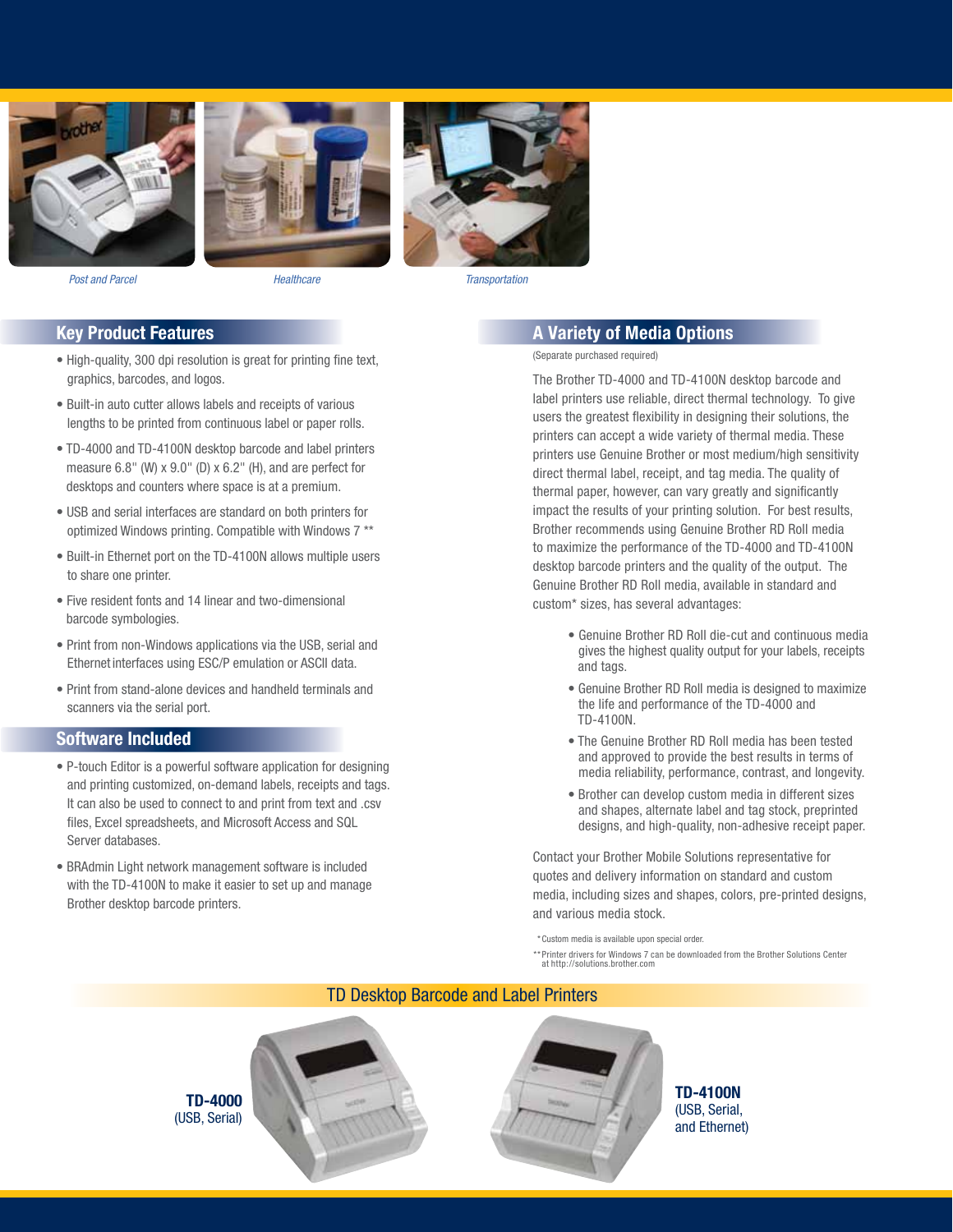







*Post and Parcel Healthcare Transportation*

#### **Key Product Features**

- High-quality, 300 dpi resolution is great for printing fine text, graphics, barcodes, and logos.
- Built-in auto cutter allows labels and receipts of various lengths to be printed from continuous label or paper rolls.
- TD-4000 and TD-4100N desktop barcode and label printers measure 6.8" (W) x 9.0" (D) x 6.2" (H), and are perfect for desktops and counters where space is at a premium.
- USB and serial interfaces are standard on both printers for optimized Windows printing. Compatible with Windows 7 \*\*
- Built-in Ethernet port on the TD-4100N allows multiple users to share one printer.
- Five resident fonts and 14 linear and two-dimensional barcode symbologies.
- Print from non-Windows applications via the USB, serial and Ethernet interfaces using ESC/P emulation or ASCII data.
- Print from stand-alone devices and handheld terminals and scanners via the serial port.

#### **Software Included**

- P-touch Editor is a powerful software application for designing and printing customized, on-demand labels, receipts and tags. It can also be used to connect to and print from text and .csv files, Excel spreadsheets, and Microsoft Access and SQL Server databases.
- BRAdmin Light network management software is included with the TD-4100N to make it easier to set up and manage Brother desktop barcode printers.

#### **A Variety of Media Options**

(Separate purchased required)

The Brother TD-4000 and TD-4100N desktop barcode and label printers use reliable, direct thermal technology. To give users the greatest flexibility in designing their solutions, the printers can accept a wide variety of thermal media. These printers use Genuine Brother or most medium/high sensitivity direct thermal label, receipt, and tag media. The quality of thermal paper, however, can vary greatly and significantly impact the results of your printing solution. For best results, Brother recommends using Genuine Brother RD Roll media to maximize the performance of the TD-4000 and TD-4100N desktop barcode printers and the quality of the output. The Genuine Brother RD Roll media, available in standard and custom\* sizes, has several advantages:

- Genuine Brother RD Roll die-cut and continuous media gives the highest quality output for your labels, receipts and tags.
- Genuine Brother RD Roll media is designed to maximize the life and performance of the TD-4000 and TD-4100N.
- The Genuine Brother RD Roll media has been tested and approved to provide the best results in terms of media reliability, performance, contrast, and longevity.
- Brother can develop custom media in different sizes and shapes, alternate label and tag stock, preprinted designs, and high-quality, non-adhesive receipt paper.

Contact your Brother Mobile Solutions representative for quotes and delivery information on standard and custom media, including sizes and shapes, colors, pre-printed designs, and various media stock.

\* Custom media is available upon special order.

\*\* Printer drivers for Windows 7 can be downloaded from the Brother Solutions Center at http://solutions.brother.com

#### TD Desktop Barcode and Label Printers





**TD-4000** (USB, Serial)